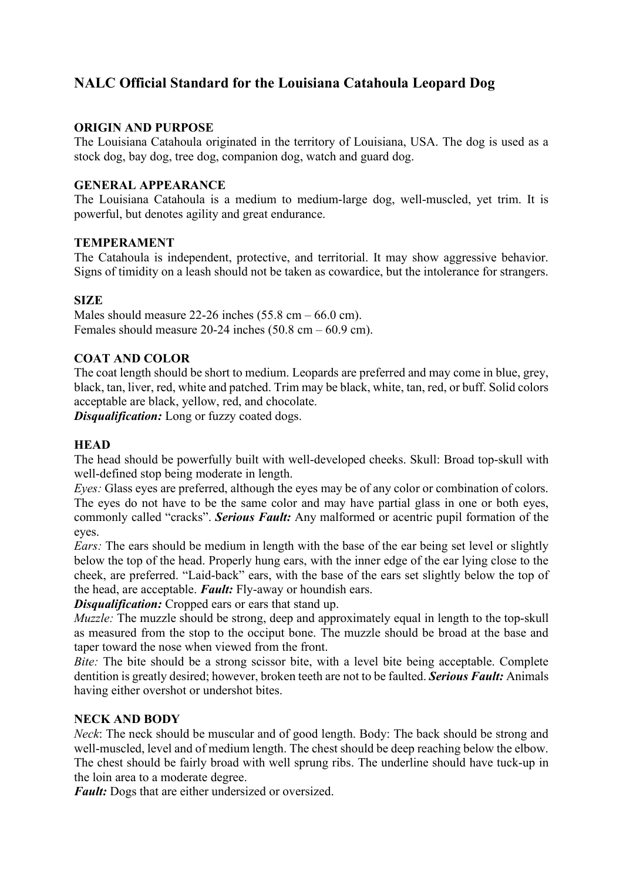# **NALC Official Standard for the Louisiana Catahoula Leopard Dog**

### **ORIGIN AND PURPOSE**

The Louisiana Catahoula originated in the territory of Louisiana, USA. The dog is used as a stock dog, bay dog, tree dog, companion dog, watch and guard dog.

### **GENERAL APPEARANCE**

The Louisiana Catahoula is a medium to medium-large dog, well-muscled, yet trim. It is powerful, but denotes agility and great endurance.

#### **TEMPERAMENT**

The Catahoula is independent, protective, and territorial. It may show aggressive behavior. Signs of timidity on a leash should not be taken as cowardice, but the intolerance for strangers.

#### **SIZE**

Males should measure 22-26 inches  $(55.8 \text{ cm} - 66.0 \text{ cm})$ . Females should measure 20-24 inches (50.8 cm – 60.9 cm).

# **COAT AND COLOR**

The coat length should be short to medium. Leopards are preferred and may come in blue, grey, black, tan, liver, red, white and patched. Trim may be black, white, tan, red, or buff. Solid colors acceptable are black, yellow, red, and chocolate.

*Disqualification:* Long or fuzzy coated dogs.

### **HEAD**

The head should be powerfully built with well-developed cheeks. Skull: Broad top-skull with well-defined stop being moderate in length.

*Eyes:* Glass eyes are preferred, although the eyes may be of any color or combination of colors. The eyes do not have to be the same color and may have partial glass in one or both eyes, commonly called "cracks". *Serious Fault:* Any malformed or acentric pupil formation of the eyes.

*Ears:* The ears should be medium in length with the base of the ear being set level or slightly below the top of the head. Properly hung ears, with the inner edge of the ear lying close to the cheek, are preferred. "Laid-back" ears, with the base of the ears set slightly below the top of the head, are acceptable. *Fault:* Fly-away or houndish ears.

*Disqualification:* Cropped ears or ears that stand up.

*Muzzle:* The muzzle should be strong, deep and approximately equal in length to the top-skull as measured from the stop to the occiput bone. The muzzle should be broad at the base and taper toward the nose when viewed from the front.

*Bite:* The bite should be a strong scissor bite, with a level bite being acceptable. Complete dentition is greatly desired; however, broken teeth are not to be faulted. *Serious Fault:* Animals having either overshot or undershot bites.

# **NECK AND BODY**

*Neck*: The neck should be muscular and of good length. Body: The back should be strong and well-muscled, level and of medium length. The chest should be deep reaching below the elbow. The chest should be fairly broad with well sprung ribs. The underline should have tuck-up in the loin area to a moderate degree.

*Fault:* Dogs that are either undersized or oversized.